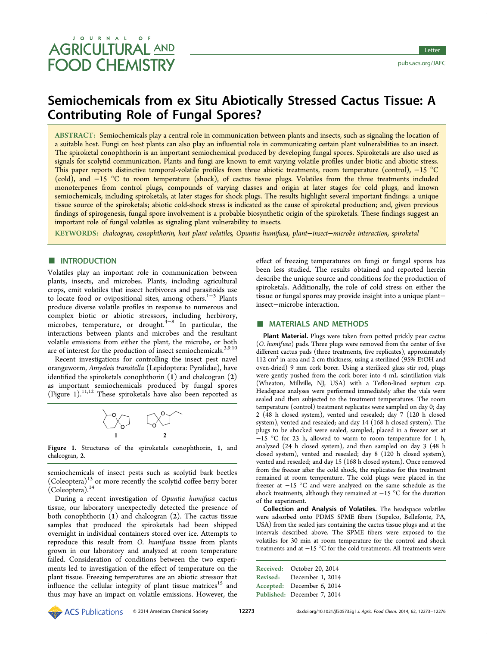# JOURNAL **AGRICULTURAL AND FOOD CHEMISTRY**

# Semiochemicals from ex Situ Abiotically Stressed Cactus Tissue: A Contributing Role of Fungal Spores?

ABSTRACT: Semiochemicals play a central role in communication between plants and insects, such as signaling the location of a suitable host. Fungi on host plants can also play an influential role in communicating certain plant vulnerabilities to an insect. The spiroketal conophthorin is an important semiochemical produced by developing fungal spores. Spiroketals are also used as signals for scolytid communication. Plants and fungi are known to emit varying volatile profiles under biotic and abiotic stress. This paper reports distinctive temporal-volatile profiles from three abiotic treatments, room temperature (control), −15 °C (cold), and −15 °C to room temperature (shock), of cactus tissue plugs. Volatiles from the three treatments included monoterpenes from control plugs, compounds of varying classes and origin at later stages for cold plugs, and known semiochemicals, including spiroketals, at later stages for shock plugs. The results highlight several important findings: a unique tissue source of the spiroketals; abiotic cold-shock stress is indicated as the cause of spiroketal production; and, given previous findings of spirogenesis, fungal spore involvement is a probable biosynthetic origin of the spiroketals. These findings suggest an important role of fungal volatiles as signaling plant vulnerability to insects.

KEYWORDS: chalcogran, conophthorin, host plant volatiles, Opuntia humifusa, plant−insect−microbe interaction, spiroketal

# **ENTRODUCTION**

Volatiles play an important role in communication between plants, insects, and microbes. Plants, including agricultural crops, emit volatiles that insect herbivores and parasitoids use to locate food or ovipositional sites, among others.<sup>[1](#page-3-0)−[3](#page-3-0)</sup> Plants produce diverse volatile profiles in response to numerous and complex biotic or abiotic stressors, including herbivory, microbes, temperature, or drought.<sup>[4](#page-3-0)−[8](#page-3-0)</sup> In particular, the interactions between plants and microbes and the resultant volatile emissions from either the plant, the microbe, or both are of interest for the production of insect semiochemicals.<sup>[3,9,10](#page-3-0)</sup>

Recent investigations for controlling the insect pest navel orangeworm, Amyelois transitella (Lepidoptera: Pyralidae), have identified the spiroketals conophthorin  $(1)$  and chalcogran  $(2)$ as important semiochemicals produced by fungal spores (Figure 1).[11](#page-3-0),[12](#page-3-0) These spiroketals have also been reported as



Figure 1. Structures of the spiroketals conophthorin, 1, and chalcogran, 2.

semiochemicals of insect pests such as scolytid bark beetles  $(Coleoptera)^{13}$  $(Coleoptera)^{13}$  $(Coleoptera)^{13}$  or more recently the scolytid coffee berry borer (Coleoptera).[14](#page-3-0)

During a recent investigation of Opuntia humifusa cactus tissue, our laboratory unexpectedly detected the presence of both conophthorin (1) and chalcogran (2). The cactus tissue samples that produced the spiroketals had been shipped overnight in individual containers stored over ice. Attempts to reproduce this result from O. humifusa tissue from plants grown in our laboratory and analyzed at room temperature failed. Consideration of conditions between the two experiments led to investigation of the effect of temperature on the plant tissue. Freezing temperatures are an abiotic stressor that influence the cellular integrity of plant tissue matrices<sup>15</sup> and thus may have an impact on volatile emissions. However, the

effect of freezing temperatures on fungi or fungal spores has been less studied. The results obtained and reported herein describe the unique source and conditions for the production of spiroketals. Additionally, the role of cold stress on either the tissue or fungal spores may provide insight into a unique plant− insect−microbe interaction.

# ■ MATERIALS AND METHODS

Plant Material. Plugs were taken from potted prickly pear cactus (O. humifusa) pads. Three plugs were removed from the center of five different cactus pads (three treatments, five replicates), approximately 112  $\text{cm}^2$  in area and 2 cm thickness, using a sterilized (95% EtOH and oven-dried) 9 mm cork borer. Using a sterilized glass stir rod, plugs were gently pushed from the cork borer into 4 mL scintillation vials (Wheaton, Millville, NJ, USA) with a Teflon-lined septum cap. Headspace analyses were performed immediately after the vials were sealed and then subjected to the treatment temperatures. The room temperature (control) treatment replicates were sampled on day 0; day 2 (48 h closed system), vented and resealed; day 7 (120 h closed system), vented and resealed; and day 14 (168 h closed system). The plugs to be shocked were sealed, sampled, placed in a freezer set at  $-15$  °C for 23 h, allowed to warm to room temperature for 1 h, analyzed (24 h closed system), and then sampled on day 3 (48 h closed system), vented and resealed; day 8 (120 h closed system), vented and resealed; and day 15 (168 h closed system). Once removed from the freezer after the cold shock, the replicates for this treatment remained at room temperature. The cold plugs were placed in the freezer at −15 °C and were analyzed on the same schedule as the shock treatments, although they remained at −15 °C for the duration of the experiment.

Collection and Analysis of Volatiles. The headspace volatiles were adsorbed onto PDMS SPME fibers (Supelco, Bellefonte, PA, USA) from the sealed jars containing the cactus tissue plugs and at the intervals described above. The SPME fibers were exposed to the volatiles for 30 min at room temperature for the control and shock treatments and at −15 °C for the cold treatments. All treatments were

|                 | Received: October 20, 2014  |  |  |  |  |  |  |
|-----------------|-----------------------------|--|--|--|--|--|--|
| <b>Revised:</b> | December 1, 2014            |  |  |  |  |  |  |
|                 | Accepted: December 6, 2014  |  |  |  |  |  |  |
|                 | Published: December 7, 2014 |  |  |  |  |  |  |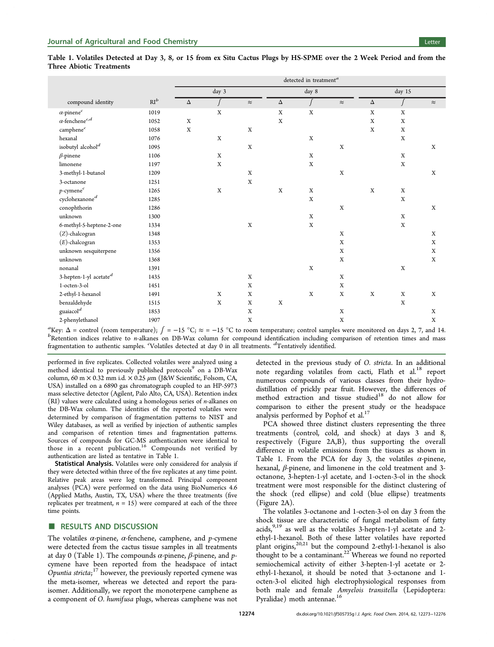|                                    |                 | detected in treatment <sup>a</sup> |             |             |             |             |             |             |             |             |
|------------------------------------|-----------------|------------------------------------|-------------|-------------|-------------|-------------|-------------|-------------|-------------|-------------|
| compound identity                  | $\mathrm{RI}^b$ | day 3                              |             |             | day 8       |             |             | day 15      |             |             |
|                                    |                 | Δ                                  | ſ           | $\approx$   | $\Delta$    | $\int$      | $\approx$   | Δ           |             | $\approx$   |
| $\alpha\text{-pinene}^c$           | 1019            |                                    | $\mathbf X$ |             | $\mathbf x$ | $\mathbf X$ |             | $\mathbf X$ | $\mathbf X$ |             |
| $\alpha$ -fenchene $^{c,d}$        | 1052            | $\mathbf X$                        |             |             | $\mathbf x$ |             |             | $\mathbf X$ | $\mathbf X$ |             |
| camphene $^c$                      | 1058            | $\mathbf X$                        |             | $\mathbf X$ |             |             |             | $\mathbf X$ | X           |             |
| hexanal                            | 1076            |                                    | $\mathbf X$ |             |             | $\mathbf X$ |             |             | $\mathbf X$ |             |
| isobutyl alcohol <sup>d</sup>      | 1095            |                                    |             | $\mathbf X$ |             |             | $\mathbf X$ |             |             | X           |
| $\beta$ -pinene                    | 1106            |                                    | $\mathbf X$ |             |             | X           |             |             | $\mathbf X$ |             |
| limonene                           | 1197            |                                    | $\mathbf X$ |             |             | $\mathbf X$ |             |             | $\mathbf X$ |             |
| 3-methyl-1-butanol                 | 1209            |                                    |             | X           |             |             | $\mathbf X$ |             |             | X           |
| 3-octanone                         | 1251            |                                    |             | $\mathbf X$ |             |             |             |             |             |             |
| $p\hbox{-}\mathrm{cymene}^c$       | 1265            |                                    | $\mathbf X$ |             | $\mathbf X$ | $\mathbf X$ |             | $\mathbf X$ | X           |             |
| cyclohexanone $\real^d$            | 1285            |                                    |             |             |             | X           |             |             | $\mathbf X$ |             |
| conophthorin                       | 1286            |                                    |             |             |             |             | $\mathbf X$ |             |             | X           |
| unknown                            | 1300            |                                    |             |             |             | $\mathbf X$ |             |             | $\mathbf X$ |             |
| 6-methyl-5-heptene-2-one           | 1334            |                                    |             | $\mathbf X$ |             | $\mathbf X$ |             |             | $\mathbf X$ |             |
| (Z)-chalcogran                     | 1348            |                                    |             |             |             |             | X           |             |             | X           |
| $(E)$ -chalcogran                  | 1353            |                                    |             |             |             |             | X           |             |             | $\mathbf X$ |
| unknown sesquiterpene              | 1356            |                                    |             |             |             |             | $\mathbf X$ |             |             | $\mathbf X$ |
| unknown                            | 1368            |                                    |             |             |             |             | X           |             |             | X           |
| nonanal                            | 1391            |                                    |             |             |             | $\mathbf X$ |             |             | $\mathbf X$ |             |
| 3-hepten-1-yl acetate <sup>d</sup> | 1435            |                                    |             | X           |             |             | X           |             |             |             |
| 1-octen-3-ol                       | 1451            |                                    |             | X           |             |             | X           |             |             |             |
| 2-ethyl-1-hexanol                  | 1491            |                                    | $\mathbf X$ | $\mathbf X$ |             | $\mathbf X$ | $\mathbf X$ | $\mathbf X$ | $\mathbf X$ | $\mathbf X$ |
| benzaldehyde                       | 1515            |                                    | $\mathbf X$ | $\mathbf X$ | $\mathbf X$ |             |             |             | $\mathbf X$ |             |
| ${\rm guai a col}^d$               | 1853            |                                    |             | $\mathbf X$ |             |             | $\mathbf X$ |             |             | $\mathbf X$ |
| 2-phenylethanol                    | 1907            |                                    |             | $\mathbf X$ |             |             | $\mathbf X$ |             |             | $\mathbf X$ |

<span id="page-1-0"></span>Table 1. Volatiles Detected at Day 3, 8, or 15 from ex Situ Cactus Plugs by HS-SPME over the 2 Week Period and from the Three Abiotic Treatments

 ${}^{a}$ Key: Δ = control (room temperature);  $\int$  = −15 °C;  $\approx$  = −15 °C to room temperature; control samples were monitored on days 2, 7, and 14.<br><sup>B</sup>Retention indices relative to n-alkanes on DB-Wax column for compound i  $b$ Retention indices relative to *n*-alkanes on DB-Wax column for compound identification including comparison of retention times and mass fragmentation to authentic samples. <sup>c</sup> Volatiles detected at day 0 in all treatments. <sup>d</sup> Tentatively identified.

performed in five replicates. Collected volatiles were analyzed using a method identical to previously published protocols<sup>[9](#page-3-0)</sup> on a DB-Wax column, 60 m  $\times$  0.32 mm i.d.  $\times$  0.25  $\mu$ m (J&W Scientific, Folsom, CA, USA) installed on a 6890 gas chromatograph coupled to an HP-5973 mass selective detector (Agilent, Palo Alto, CA, USA). Retention index (RI) values were calculated using a homologous series of n-alkanes on the DB-Wax column. The identities of the reported volatiles were determined by comparison of fragmentation patterns to NIST and Wiley databases, as well as verified by injection of authentic samples and comparison of retention times and fragmentation patterns. Sources of compounds for GC-MS authentication were identical to those in a recent publication.<sup>[16](#page-3-0)</sup> Compounds not verified by authentication are listed as tentative in Table 1.

Statistical Analysis. Volatiles were only considered for analysis if they were detected within three of the five replicates at any time point. Relative peak areas were log transformed. Principal component analyses (PCA) were performed on the data using BioNumerics 4.6 (Applied Maths, Austin, TX, USA) where the three treatments (five replicates per treatment,  $n = 15$ ) were compared at each of the three time points.

## ■ RESULTS AND DISCUSSION

The volatiles  $\alpha$ -pinene,  $\alpha$ -fenchene, camphene, and p-cymene were detected from the cactus tissue samples in all treatments at day 0 (Table 1). The compounds  $\alpha$ -pinene,  $\beta$ -pinene, and pcymene have been reported from the headspace of intact  $\overline{O}$ puntia stricta;<sup>[17](#page-3-0)</sup> however, the previously reported cymene was the meta-isomer, whereas we detected and report the paraisomer. Additionally, we report the monoterpene camphene as a component of O. humifusa plugs, whereas camphene was not

detected in the previous study of O. stricta. In an additional note regarding volatiles from cacti, Flath et al.<sup>[18](#page-3-0)</sup> report numerous compounds of various classes from their hydrodistillation of prickly pear fruit. However, the differences of method extraction and tissue studied<sup>[18](#page-3-0)</sup> do not allow for comparison to either the present study or the headspace analysis performed by Pophof et al.<sup>[17](#page-3-0)</sup>

PCA showed three distinct clusters representing the three treatments (control, cold, and shock) at days 3 and 8, respectively (Figure [2A](#page-2-0),B), thus supporting the overall difference in volatile emissions from the tissues as shown in Table 1. From the PCA for day 3, the volatiles  $\alpha$ -pinene, hexanal, β-pinene, and limonene in the cold treatment and 3 octanone, 3-hepten-1-yl acetate, and 1-octen-3-ol in the shock treatment were most responsible for the distinct clustering of the shock (red ellipse) and cold (blue ellipse) treatments (Figure [2A](#page-2-0)).

The volatiles 3-octanone and 1-octen-3-ol on day 3 from the shock tissue are characteristic of fungal metabolism of fatty acids, $9,19$  $9,19$  $9,19$  as well as the volatiles 3-hepten-1-yl acetate and 2ethyl-1-hexanol. Both of these latter volatiles have reported plant origins, $20,21$  but the compound 2-ethyl-1-hexanol is also thought to be a contaminant.<sup>[22](#page-3-0)</sup> Whereas we found no reported semiochemical activity of either 3-hepten-1-yl acetate or 2 ethyl-1-hexanol, it should be noted that 3-octanone and 1 octen-3-ol elicited high electrophysiological responses from both male and female Amyelois transitella (Lepidoptera: Pyralidae) moth antennae.[16](#page-3-0)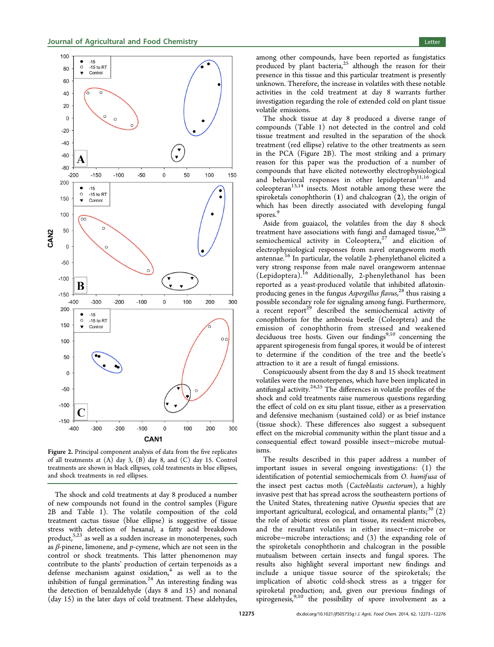<span id="page-2-0"></span>

Figure 2. Principal component analysis of data from the five replicates of all treatments at (A) day 3, (B) day 8, and (C) day 15. Control treatments are shown in black ellipses, cold treatments in blue ellipses, and shock treatments in red ellipses.

The shock and cold treatments at day 8 produced a number of new compounds not found in the control samples (Figure 2B and Table [1\)](#page-1-0). The volatile composition of the cold treatment cactus tissue (blue ellipse) is suggestive of tissue stress with detection of hexanal, a fatty acid breakdown product,<sup>[5,23](#page-3-0)</sup> as well as a sudden increase in monoterpenes, such as  $\beta$ -pinene, limonene, and  $p$ -cymene, which are not seen in the control or shock treatments. This latter phenomenon may contribute to the plants' production of certain terpenoids as a defense mechanism against oxidation, $4$  as well as to the inhibition of fungal germination.<sup>[24](#page-3-0)</sup> An interesting finding was the detection of benzaldehyde (days 8 and 15) and nonanal (day 15) in the later days of cold treatment. These aldehydes,

among other compounds, have been reported as fungistatics produced by plant bacteria,<sup>[25](#page-3-0)</sup> although the reason for their presence in this tissue and this particular treatment is presently unknown. Therefore, the increase in volatiles with these notable activities in the cold treatment at day 8 warrants further investigation regarding the role of extended cold on plant tissue volatile emissions.

The shock tissue at day 8 produced a diverse range of compounds (Table [1\)](#page-1-0) not detected in the control and cold tissue treatment and resulted in the separation of the shock treatment (red ellipse) relative to the other treatments as seen in the PCA (Figure 2B). The most striking and a primary reason for this paper was the production of a number of compounds that have elicited noteworthy electrophysiological and behavioral responses in other lepidopteran $11,16$  and coleopteran<sup>[13,14](#page-3-0)</sup> insects. Most notable among these were the spiroketals conophthorin  $(1)$  and chalcogran  $(2)$ , the origin of which has been directly associated with developing fungal spores.<sup>[9](#page-3-0)</sup>

Aside from guaiacol, the volatiles from the day 8 shock treatment have associations with fungi and damaged tissue,  $^{9,26}$  $^{9,26}$  $^{9,26}$ semiochemical activity in Coleoptera, $27$  and elicition of electrophysiological responses from navel orangeworm moth antennae.[16](#page-3-0) In particular, the volatile 2-phenylethanol elicited a very strong response from male navel orangeworm antennae (Lepidoptera).[16](#page-3-0) Additionally, 2-phenylethanol has been reported as a yeast-produced volatile that inhibited aflatoxin-producing genes in the fungus Aspergillus flavus,<sup>[28](#page-3-0)</sup> thus raising a possible secondary role for signaling among fungi. Furthermore, a recent report<sup>[29](#page-3-0)</sup> described the semiochemical activity of conophthorin for the ambrosia beetle (Coleoptera) and the emission of conophthorin from stressed and weakened deciduous tree hosts. Given our findings $9,10$  $9,10$  $9,10$  concerning the apparent spirogenesis from fungal spores, it would be of interest to determine if the condition of the tree and the beetle's attraction to it are a result of fungal emissions.

Conspicuously absent from the day 8 and 15 shock treatment volatiles were the monoterpenes, which have been implicated in antifungal activity.<sup>[24](#page-3-0),[25](#page-3-0)</sup> The differences in volatile profiles of the shock and cold treatments raise numerous questions regarding the effect of cold on ex situ plant tissue, either as a preservation and defensive mechanism (sustained cold) or as brief instance (tissue shock). These differences also suggest a subsequent effect on the microbial community within the plant tissue and a consequential effect toward possible insect−microbe mutualisms.

The results described in this paper address a number of important issues in several ongoing investigations: (1) the identification of potential semiochemicals from O. humifusa of the insect pest cactus moth (Cactoblastis cactorum), a highly invasive pest that has spread across the southeastern portions of the United States, threatening native Opuntia species that are important agricultural, ecological, and ornamental plants;<sup>[30](#page-3-0)</sup>  $(2)$ the role of abiotic stress on plant tissue, its resident microbes, and the resultant volatiles in either insect−microbe or microbe−microbe interactions; and (3) the expanding role of the spiroketals conophthorin and chalcogran in the possible mutualism between certain insects and fungal spores. The results also highlight several important new findings and include a unique tissue source of the spiroketals; the implication of abiotic cold-shock stress as a trigger for spiroketal production; and, given our previous findings of spirogenesis, $9,10$  the possibility of spore involvement as a